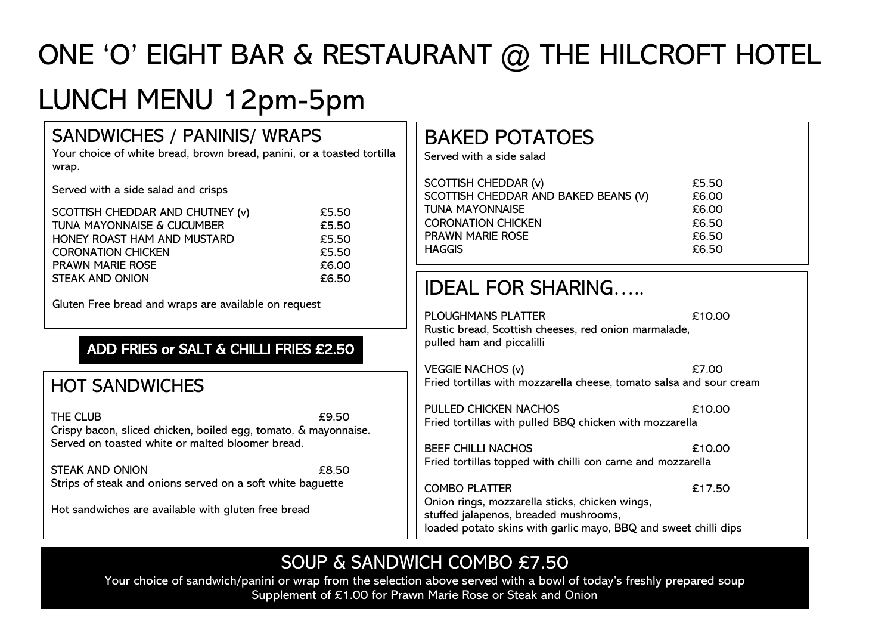# ONE 'O' EIGHT BAR & RESTAURANT @ THE HILCROFT HOTEL

## LUNCH MENU 12pm-5pm

#### SANDWICHES / PANINIS/ WRAPS

Your choice of white bread, brown bread, panini, or a toasted tortilla wrap.

Served with a side salad and crisps

| SCOTTISH CHEDDAR AND CHUTNEY (v)      | £5.50 |
|---------------------------------------|-------|
| <b>TUNA MAYONNAISE &amp; CUCUMBER</b> | £5.50 |
| HONEY ROAST HAM AND MUSTARD           | £5.50 |
| <b>CORONATION CHICKEN</b>             | £5.50 |
| <b>PRAWN MARIE ROSE</b>               | £6.00 |
| <b>STEAK AND ONION</b>                | £6.50 |
|                                       |       |

Gluten Free bread and wraps are available on request

#### ADD FRIES or SALT & CHILLI FRIES £2.50

#### HOT SANDWICHES

THE CLUB **EXECUTE** Crispy bacon, sliced chicken, boiled egg, tomato, & mayonnaise. Served on toasted white or malted bloomer bread.

STEAK AND ONION **EX.50** Strips of steak and onions served on a soft white baguette

Hot sandwiches are available with gluten free bread

### BAKED POTATOES

Served with a side salad

| SCOTTISH CHEDDAR (v)                 | £5.50 |
|--------------------------------------|-------|
| SCOTTISH CHEDDAR AND BAKED BEANS (V) | £6.00 |
| <b>TUNA MAYONNAISE</b>               | £6.00 |
| <b>CORONATION CHICKEN</b>            | £6.50 |
| <b>PRAWN MARIE ROSE</b>              | £6.50 |
| <b>HAGGIS</b>                        | £6.50 |

### IDEAL FOR SHARING…..

| PLOUGHMANS PLATTER<br>Rustic bread, Scottish cheeses, red onion marmalade,<br>pulled ham and piccalilli                                                                            | £10.00 |
|------------------------------------------------------------------------------------------------------------------------------------------------------------------------------------|--------|
| <b>VEGGIE NACHOS (v)</b><br>Fried tortillas with mozzarella cheese, tomato salsa and sour cream                                                                                    | £7.00  |
| PULLED CHICKEN NACHOS<br>Fried tortillas with pulled BBQ chicken with mozzarella                                                                                                   | £10.00 |
| <b>BEEF CHILLI NACHOS</b><br>Fried tortillas topped with chilli con carne and mozzarella                                                                                           | £10.00 |
| <b>COMBO PLATTER</b><br>Onion rings, mozzarella sticks, chicken wings,<br>stuffed jalapenos, breaded mushrooms,<br>loaded potato skins with garlic mayo, BBQ and sweet chilli dips | £17.50 |

### SOUP & SANDWICH COMBO £7.50

Your choice of sandwich/panini or wrap from the selection above served with a bowl of today's freshly prepared soup Supplement of £1.00 for Prawn Marie Rose or Steak and Onion